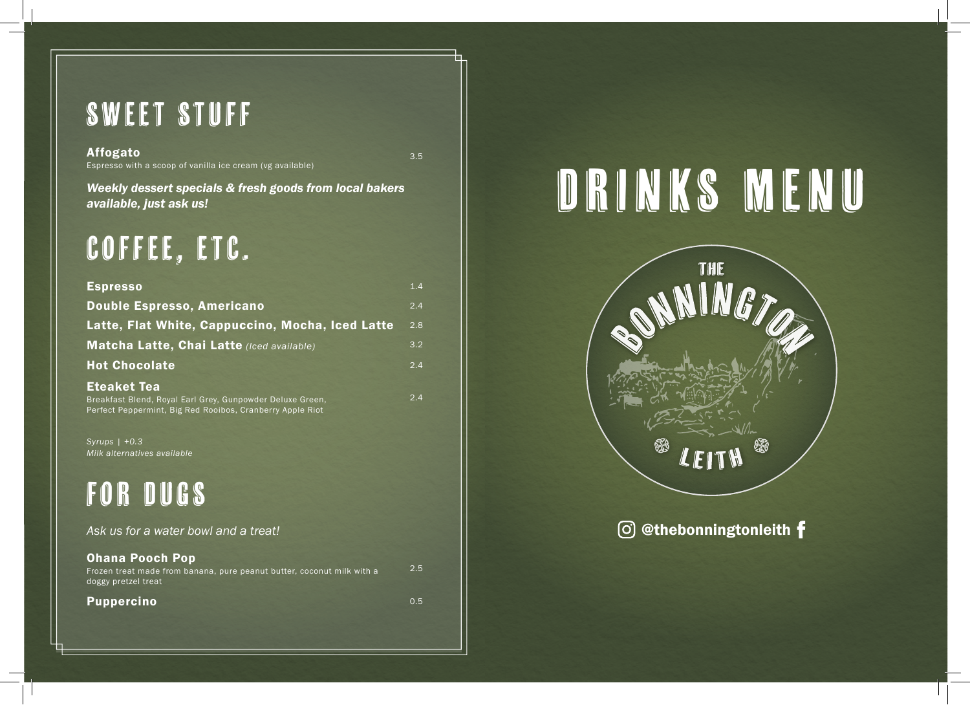### SWEET STUFF

Affogato Espresso with a scoop of vanilla ice cream (vg available)

3.5

2.5

*Weekly dessert specials & fresh goods from local bakers available, just ask us!*

# COFFEE, ETC.

| <b>Espresso</b>                                                                                                                              | 1.4 |
|----------------------------------------------------------------------------------------------------------------------------------------------|-----|
| <b>Double Espresso, Americano</b>                                                                                                            | 2.4 |
| Latte, Flat White, Cappuccino, Mocha, Iced Latte                                                                                             | 2.8 |
| Matcha Latte, Chai Latte (Iced available)                                                                                                    | 3.2 |
| <b>Hot Chocolate</b>                                                                                                                         | 2.4 |
| <b>Eteaket Tea</b><br>Breakfast Blend, Royal Earl Grey, Gunpowder Deluxe Green,<br>Perfect Peppermint, Big Red Rooibos, Cranberry Apple Riot | 2.4 |

*Syrups | +0.3 Milk alternatives available*

## FOR DUGS

| Ask us for a water bowl and a treat!                                                                                    |     |
|-------------------------------------------------------------------------------------------------------------------------|-----|
| <b>Ohana Pooch Pop</b><br>Frozen treat made from banana, pure peanut butter, coconut milk with a<br>doggy pretzel treat | 2.5 |
| Puppercino                                                                                                              | 0.5 |

# DRINKS MENU



© @thebonningtonleith f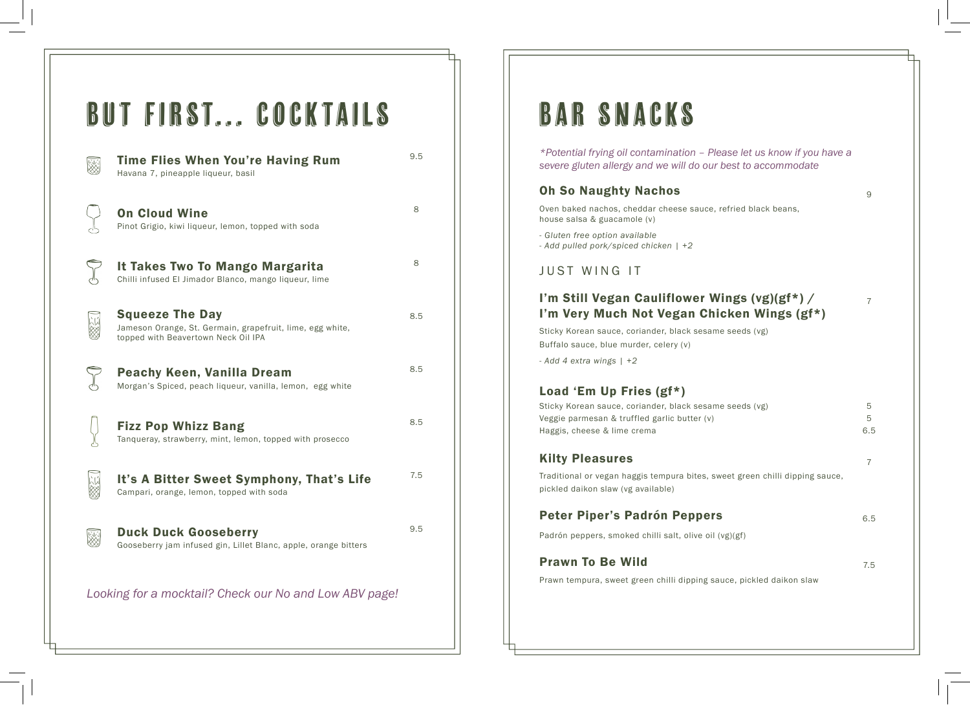|               | BUT FIRST COCKTAILS                                                                                                        |     |
|---------------|----------------------------------------------------------------------------------------------------------------------------|-----|
|               | <b>Time Flies When You're Having Rum</b><br>Havana 7, pineapple liqueur, basil                                             | 9.5 |
|               | <b>On Cloud Wine</b><br>Pinot Grigio, kiwi liqueur, lemon, topped with soda                                                | 8   |
| $\mathcal{L}$ | It Takes Two To Mango Margarita<br>Chilli infused El Jimador Blanco, mango liqueur, lime                                   | 8   |
|               | <b>Squeeze The Day</b><br>Jameson Orange, St. Germain, grapefruit, lime, egg white,<br>topped with Beavertown Neck Oil IPA | 8.5 |
| $\sum$        | <b>Peachy Keen, Vanilla Dream</b><br>Morgan's Spiced, peach liqueur, vanilla, lemon, egg white                             | 8.5 |
|               | <b>Fizz Pop Whizz Bang</b><br>Tanqueray, strawberry, mint, lemon, topped with prosecco                                     | 8.5 |
|               | It's A Bitter Sweet Symphony, That's Life<br>Campari, orange, lemon, topped with soda                                      | 7.5 |
|               | <b>Duck Duck Gooseberry</b><br>Gooseberry jam infused gin, Lillet Blanc, apple, orange bitters                             | 9.5 |
|               | Looking for a mocktail? Check our No and Low ABV page!                                                                     |     |

### BAR SNACKS

*\*Potential frying oil contamination – Please let us know if you have a severe gluten allergy and we will do our best to accommodate*

9

#### Oh So Naughty Nachos

Oven baked nachos, cheddar cheese sauce, refried black beans, house salsa & guacamole (v)

*- Gluten free option available - Add pulled pork/spiced chicken | +2*

#### JUST WING IT

#### I'm Still Vegan Cauliflower Wings (vg)(gf\*) / I'm Very Much Not Vegan Chicken Wings (gf\*) 7

Sticky Korean sauce, coriander, black sesame seeds (vg) Buffalo sauce, blue murder, celery (v)

*- Add 4 extra wings | +2*

#### Load 'Em Up Fries (gf\*)

| Sticky Korean sauce, coriander, black sesame seeds (vg)<br>Veggie parmesan & truffled garlic butter (v)<br>Haggis, cheese & lime crema | 5<br>5<br>6.5 |
|----------------------------------------------------------------------------------------------------------------------------------------|---------------|
| <b>Kilty Pleasures</b>                                                                                                                 | 7             |
| Traditional or vegan haggis tempura bites, sweet green chilli dipping sauce,<br>pickled daikon slaw (vg available)                     |               |
| Peter Piper's Padrón Peppers                                                                                                           | 6.5           |
| Padrón peppers, smoked chilli salt, olive oil (vg)(gf)                                                                                 |               |
| <b>Prawn To Be Wild</b><br>Prawn tempura, sweet green chilli dipping sauce, pickled daikon slaw                                        | 7.5           |
|                                                                                                                                        |               |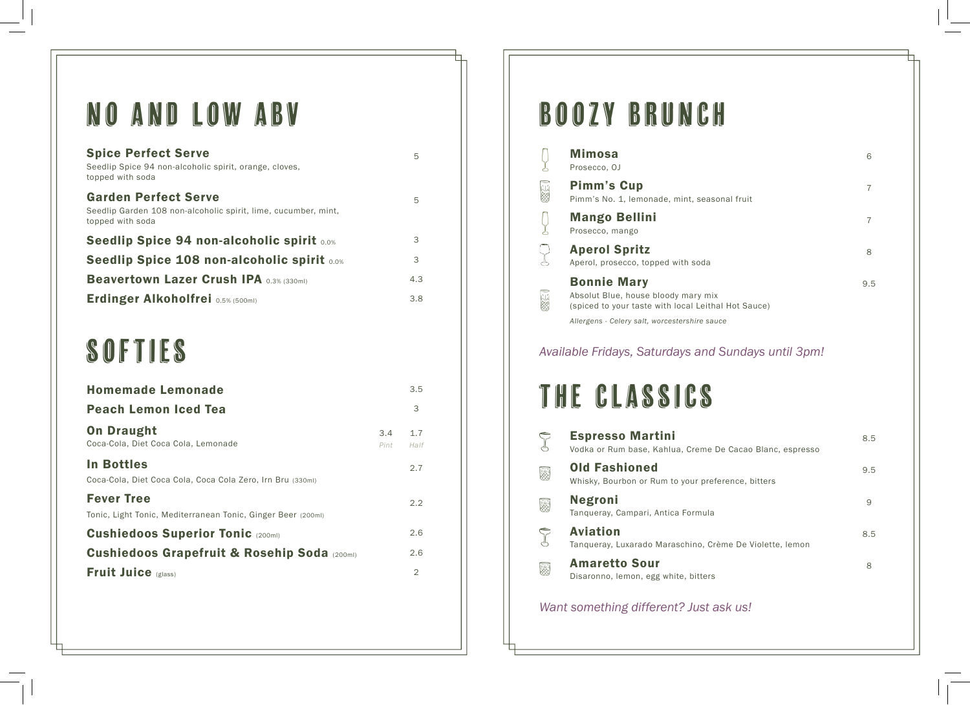### NO AND LOW ABV

| <b>Spice Perfect Serve</b><br>Seedlip Spice 94 non-alcoholic spirit, orange, cloves,<br>topped with soda          | 5   |
|-------------------------------------------------------------------------------------------------------------------|-----|
| <b>Garden Perfect Serve</b><br>Seedlip Garden 108 non-alcoholic spirit, lime, cucumber, mint,<br>topped with soda | 5   |
| Seedlip Spice 94 non-alcoholic spirit 0.0%                                                                        | 3   |
| <b>Seedlip Spice 108 non-alcoholic spirit 0.0%</b>                                                                | 3   |
| <b>Beavertown Lazer Crush IPA 0.3% (330ml)</b>                                                                    | 4.3 |
| Erdinger Alkoholfrei 0.5% (500ml)                                                                                 | 3.8 |

## SOFTIES

| <b>Homemade Lemonade</b>                                                          |             | 3.5            |
|-----------------------------------------------------------------------------------|-------------|----------------|
| <b>Peach Lemon Iced Tea</b>                                                       |             | 3              |
| <b>On Draught</b><br>Coca-Cola, Diet Coca Cola, Lemonade                          | 3.4<br>Pint | 1.7<br>Half    |
| <b>In Bottles</b><br>Coca-Cola, Diet Coca Cola, Coca Cola Zero, Irn Bru (330ml)   |             | 2.7            |
| <b>Fever Tree</b><br>Tonic, Light Tonic, Mediterranean Tonic, Ginger Beer (200ml) |             | 2.2            |
| <b>Cushiedoos Superior Tonic (200ml)</b>                                          |             | 2.6            |
| <b>Cushiedoos Grapefruit &amp; Rosehip Soda</b> (200ml)                           |             | 2.6            |
| <b>Fruit Juice</b> (glass)                                                        |             | $\overline{2}$ |

### BOOZY BRUNCH

| <b>Mimosa</b><br>Prosecco, OJ                                                                                    | 6   |
|------------------------------------------------------------------------------------------------------------------|-----|
| <b>Pimm's Cup</b><br>Pimm's No. 1, lemonade, mint, seasonal fruit                                                |     |
| <b>Mango Bellini</b><br>Prosecco, mango                                                                          |     |
| <b>Aperol Spritz</b><br>Aperol, prosecco, topped with soda                                                       | 8   |
| <b>Bonnie Mary</b><br>Absolut Blue, house bloody mary mix<br>(spiced to your taste with local Leithal Hot Sauce) | 9.5 |
| Allergens - Celery salt, worcestershire sauce                                                                    |     |

*Available Fridays, Saturdays and Sundays until 3pm!*

# THE CLASSICS

| <b>Espresso Martini</b><br>Vodka or Rum base, Kahlua, Creme De Cacao Blanc, espresso | 8.5 |
|--------------------------------------------------------------------------------------|-----|
| <b>Old Fashioned</b><br>Whisky, Bourbon or Rum to your preference, bitters           | 9.5 |
| <b>Negroni</b><br>Tanqueray, Campari, Antica Formula                                 | 9   |
| <b>Aviation</b><br>Tangueray, Luxarado Maraschino, Crème De Violette, Iemon          | 8.5 |
| <b>Amaretto Sour</b><br>Disaronno, lemon, egg white, bitters                         | 8   |

*Want something different? Just ask us!*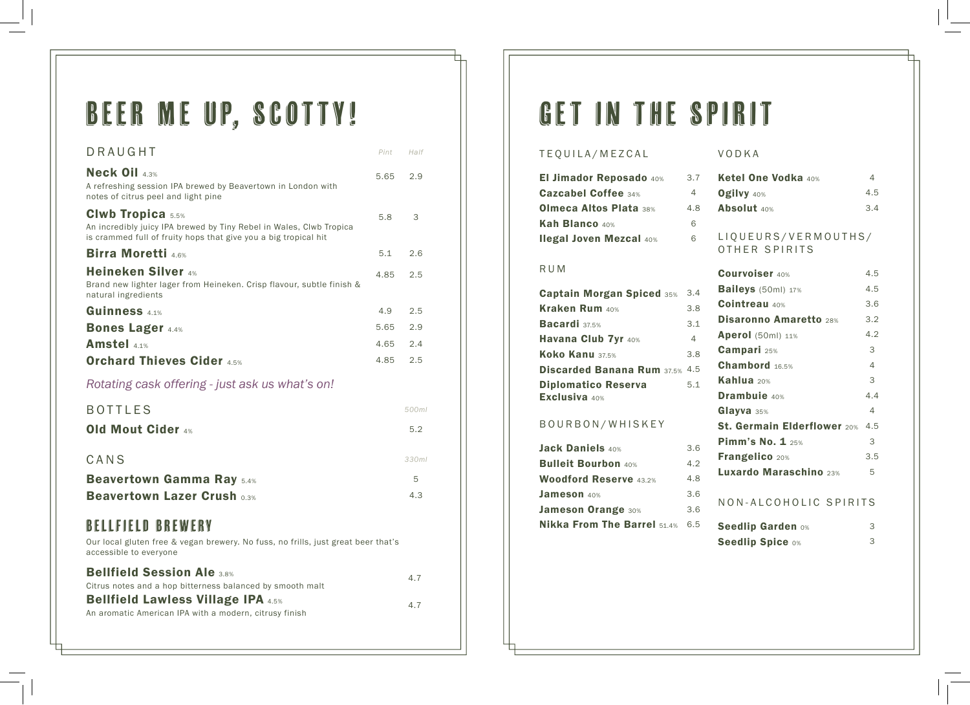## BEER ME UP, SCOTTY!

| DRAUGHT                                                                                                                                                            | Pint | Half  |
|--------------------------------------------------------------------------------------------------------------------------------------------------------------------|------|-------|
| Neck Oil 4.3%<br>A refreshing session IPA brewed by Beavertown in London with<br>notes of citrus peel and light pine                                               | 5.65 | 2.9   |
| <b>Clwb Tropica 5.5%</b><br>An incredibly juicy IPA brewed by Tiny Rebel in Wales, Clwb Tropica<br>is crammed full of fruity hops that give you a big tropical hit | 5.8  | 3     |
| <b>Birra Moretti 4.6%</b>                                                                                                                                          | 5.1  | 2.6   |
| <b>Heineken Silver 4%</b><br>Brand new lighter lager from Heineken. Crisp flavour, subtle finish &<br>natural ingredients                                          | 4.85 | 2.5   |
| Guinness 4.1%                                                                                                                                                      | 4.9  | 2.5   |
| <b>Bones Lager 4.4%</b>                                                                                                                                            | 5.65 | 2.9   |
| <b>Amstel</b> 4.1%                                                                                                                                                 | 4.65 | 2.4   |
| <b>Orchard Thieves Cider 4.5%</b>                                                                                                                                  | 4.85 | 2.5   |
| Rotating cask offering - just ask us what's on!                                                                                                                    |      |       |
| <b>BOTTLES</b>                                                                                                                                                     |      | 500ml |
| Old Mout Cider 4%                                                                                                                                                  |      | 5.2   |
| CANS                                                                                                                                                               |      | 330ml |
| <b>Beavertown Gamma Ray 5.4%</b>                                                                                                                                   |      | 5     |
| <b>Beavertown Lazer Crush 0.3%</b>                                                                                                                                 |      | 4.3   |
| <b>BELLFIELD BREWERY</b><br>Our local gluten free & vegan brewery. No fuss, no frills, just great beer that's<br>accessible to everyone                            |      |       |
| <b>Bellfield Session Ale 3.8%</b><br>Citrus notes and a hop bitterness balanced by smooth malt                                                                     |      | 4.7   |
| <b>Bellfield Lawless Village IPA 4.5%</b><br>An aromatic American IPA with a modern, citrusy finish                                                                |      | 4.7   |
|                                                                                                                                                                    |      |       |

### GET IN THE SPIRIT

#### TEQUILA/MEZCAL

| <b>El Jimador Reposado</b> 40% | 3.7 |
|--------------------------------|-----|
| <b>Cazcabel Coffee 34%</b>     | 4   |
| <b>Olmeca Altos Plata 38%</b>  | 4.8 |
| Kah Blanco 40%                 | ൳   |
| <b>Ilegal Joven Mezcal 40%</b> | ൳   |

#### RUM

| 3.4                                   |
|---------------------------------------|
| 3.8                                   |
| 3.1                                   |
| 4                                     |
| 3.8                                   |
| <b>Discarded Banana Rum 37.5% 4.5</b> |
| 5.1                                   |
|                                       |

#### BOURBON/WHISKEY

| 3.6 |
|-----|
| 4.2 |
| 4.8 |
| 3.6 |
| 3.6 |
| 6.5 |
|     |

#### VODKA

| . 7 | Ketel One Vodka 40% |     |
|-----|---------------------|-----|
|     | Ogilvy 40%          | 4.5 |
| 8.  | <b>Absolut</b> 40%  | 3.4 |
|     |                     |     |
| ż   | LIQUEURS/VERMOUTHS/ |     |
|     | OTHER SPIRITS       |     |

| <b>Courvoiser</b> 40%              | 4.5 |
|------------------------------------|-----|
| <b>Baileys</b> $(50ml)$ $17%$      | 4.5 |
| <b>Cointreau</b> 40%               | 3.6 |
| <b>Disaronno Amaretto 28%</b>      | 3.2 |
| <b>Aperol</b> (50ml) $11\%$        | 4.2 |
| <b>Campari</b> 25%                 | 3   |
| Chambord 16.5%                     | 4   |
| Kahlua⇒o‰                          | 3   |
| Drambuie 40%                       | 4.4 |
| Glayva 35%                         | 4   |
| <b>St. Germain Elderflower</b> 20% | 4.5 |
| <b>Pimm's No. 1</b> 25%            | З   |
| <b>Frangelico</b> 20%              | 3.5 |
| Luxardo Maraschino 23%             | 5   |
|                                    |     |
|                                    |     |

#### NON-ALCOHOLIC SPIRITS

| <b>Seedlip Garden ox</b> | 3 |
|--------------------------|---|
| <b>Seedlip Spice ox</b>  | 3 |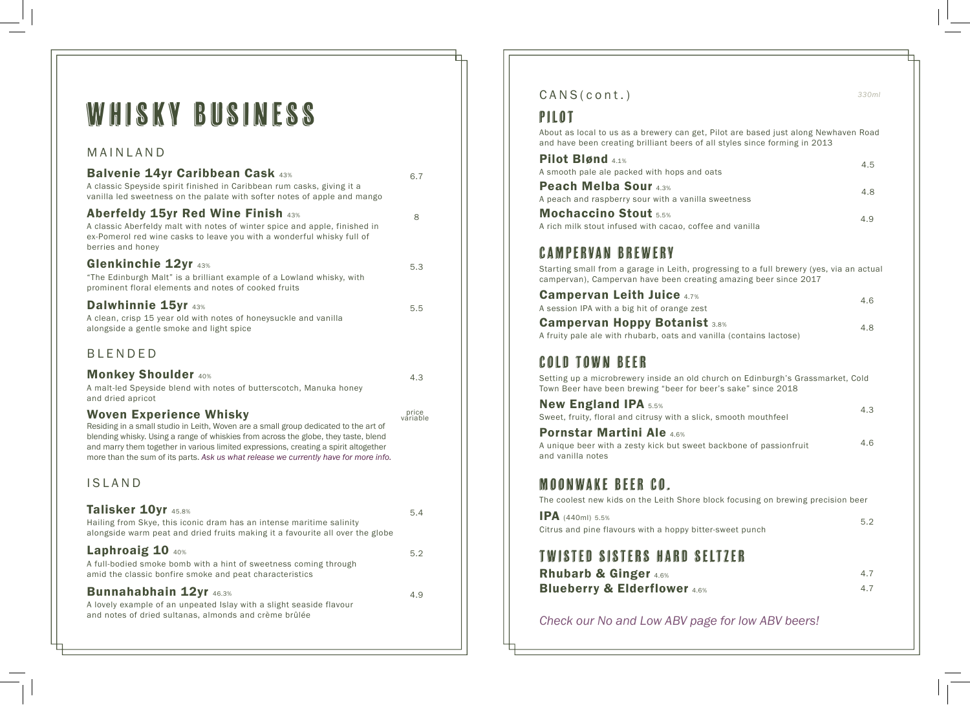### WHISKY BUSINESS

#### MAINLAND

| <b>Balvenie 14yr Caribbean Cask 43%</b><br>A classic Speyside spirit finished in Caribbean rum casks, giving it a<br>vanilla led sweetness on the palate with softer notes of apple and mango                                                                                                                                                                                                 | 6.7               |
|-----------------------------------------------------------------------------------------------------------------------------------------------------------------------------------------------------------------------------------------------------------------------------------------------------------------------------------------------------------------------------------------------|-------------------|
| <b>Aberfeldy 15yr Red Wine Finish 43%</b><br>A classic Aberfeldy malt with notes of winter spice and apple, finished in<br>ex-Pomerol red wine casks to leave you with a wonderful whisky full of<br>berries and honey                                                                                                                                                                        | 8                 |
| Glenkinchie 12yr 43%<br>"The Edinburgh Malt" is a brilliant example of a Lowland whisky, with<br>prominent floral elements and notes of cooked fruits                                                                                                                                                                                                                                         | 5.3               |
| Dalwhinnie 15yr 43%<br>A clean, crisp 15 year old with notes of honeysuckle and vanilla<br>alongside a gentle smoke and light spice                                                                                                                                                                                                                                                           | 5.5               |
| <b>BLENDED</b>                                                                                                                                                                                                                                                                                                                                                                                |                   |
| <b>Monkey Shoulder 40%</b><br>A malt-led Speyside blend with notes of butterscotch, Manuka honey<br>and dried apricot                                                                                                                                                                                                                                                                         | 4.3               |
| <b>Woven Experience Whisky</b><br>Residing in a small studio in Leith, Woven are a small group dedicated to the art of<br>blending whisky. Using a range of whiskies from across the globe, they taste, blend<br>and marry them together in various limited expressions, creating a spirit altogether<br>more than the sum of its parts. Ask us what release we currently have for more info. | price<br>variable |
| ISLAND                                                                                                                                                                                                                                                                                                                                                                                        |                   |
| Talisker 10yr 45.8%<br>Hailing from Skye, this iconic dram has an intense maritime salinity<br>alongside warm peat and dried fruits making it a favourite all over the globe                                                                                                                                                                                                                  | 5.4               |
| Laphroaig $10$ 40%<br>A full-bodied smoke bomb with a hint of sweetness coming through<br>amid the classic bonfire smoke and peat characteristics                                                                                                                                                                                                                                             | 5.2               |
| <b>Bunnahabhain 12yr 46.3%</b><br>A lovely example of an unpeated Islay with a slight seaside flavour<br>and notes of dried sultanas, almonds and crème brûlée                                                                                                                                                                                                                                | 4.9               |
|                                                                                                                                                                                                                                                                                                                                                                                               |                   |

#### CANS(cont.) *330ml*

### PILOT

About as local to us as a brewery can get, Pilot are based just along Newhaven Road and have been creating brilliant beers of all styles since forming in 2013

| Pilot Blønd 4.1%                                         | 4.5 |
|----------------------------------------------------------|-----|
| A smooth pale ale packed with hops and oats              |     |
| <b>Peach Melba Sour 4.3%</b>                             | 4.8 |
| A peach and raspberry sour with a vanilla sweetness      |     |
| <b>Mochaccino Stout 5.5%</b>                             |     |
| A rich milk stout infused with cacao, coffee and vanilla | 4.9 |

### Campervan Brewery

Starting small from a garage in Leith, progressing to a full brewery (yes, via an actual campervan), Campervan have been creating amazing beer since 2017

| <b>Campervan Leith Juice 4.7%</b>                                   | 4.6 |
|---------------------------------------------------------------------|-----|
| A session IPA with a big hit of orange zest                         |     |
| <b>Campervan Hoppy Botanist 3.8%</b>                                | 4.8 |
| A fruity pale ale with rhubarb, oats and vanilla (contains lactose) |     |

### COLD TOWN BEER

Setting up a microbrewery inside an old church on Edinburgh's Grassmarket, Cold Town Beer have been brewing "beer for beer's sake" since 2018

| <b>New England IPA 5.5%</b>                                                                                                 | 4.3 |
|-----------------------------------------------------------------------------------------------------------------------------|-----|
| Sweet, fruity, floral and citrusy with a slick, smooth mouthfeel                                                            |     |
| <b>Pornstar Martini Ale 4.6%</b><br>A unique beer with a zesty kick but sweet backbone of passionfruit<br>and vanilla notes | 4.6 |

### Moonwake Beer Co.

The coolest new kids on the Leith Shore block focusing on brewing precision beer

| <b>IPA</b> (440ml) 5.5%                                  | 5.2 |
|----------------------------------------------------------|-----|
| Citrus and pine flavours with a hoppy bitter-sweet punch |     |

### TWISTED SISTERS HARD SELTZER

| <b>Rhubarb &amp; Ginger 4.6%</b>        | 4.7 |
|-----------------------------------------|-----|
| <b>Blueberry &amp; Elderflower 4.6%</b> | 4.7 |

*Check our No and Low ABV page for low ABV beers!*